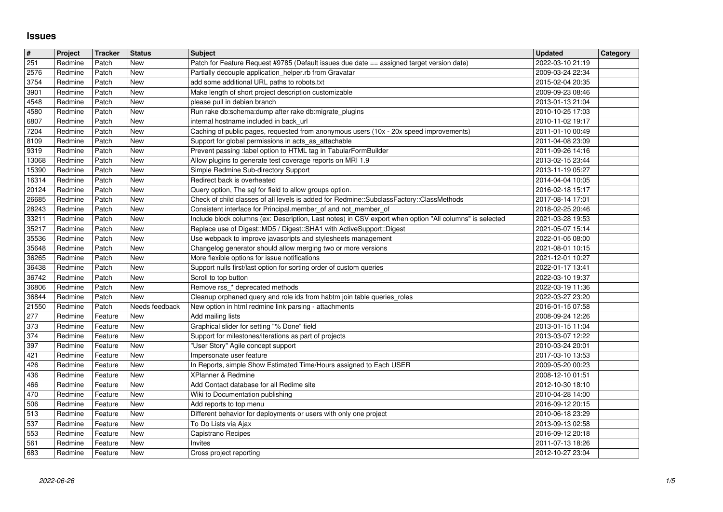## **Issues**

| $\overline{\mathbf{H}}$ | Project            | <b>Tracker</b>     | <b>Status</b>            | <b>Subject</b>                                                                                                                                                            | <b>Updated</b>                       | Category |
|-------------------------|--------------------|--------------------|--------------------------|---------------------------------------------------------------------------------------------------------------------------------------------------------------------------|--------------------------------------|----------|
| 251                     | Redmine            | Patch              | New                      | Patch for Feature Request #9785 (Default issues due date == assigned target version date)                                                                                 | 2022-03-10 21:19                     |          |
| 2576                    | Redmine            | Patch              | New                      | Partially decouple application_helper.rb from Gravatar                                                                                                                    | 2009-03-24 22:34                     |          |
| 3754                    | Redmine            | Patch<br>Patch     | New<br><b>New</b>        | add some additional URL paths to robots.txt<br>Make length of short project description customizable                                                                      | 2015-02-04 20:35                     |          |
| 3901<br>4548            | Redmine<br>Redmine | Patch              | New                      | please pull in debian branch                                                                                                                                              | 2009-09-23 08:46<br>2013-01-13 21:04 |          |
| 4580                    | Redmine            | Patch              | New                      | Run rake db:schema:dump after rake db:migrate_plugins                                                                                                                     | 2010-10-25 17:03                     |          |
| 6807                    | Redmine            | Patch              | <b>New</b>               | internal hostname included in back_url                                                                                                                                    | 2010-11-02 19:17                     |          |
| 7204                    | Redmine            | Patch              | New                      | Caching of public pages, requested from anonymous users (10x - 20x speed improvements)                                                                                    | 2011-01-10 00:49                     |          |
| 8109<br>9319            | Redmine<br>Redmine | Patch<br>Patch     | New<br><b>New</b>        | Support for global permissions in acts_as_attachable<br>Prevent passing :label option to HTML tag in TabularFormBuilder                                                   | 2011-04-08 23:09<br>2011-09-26 14:16 |          |
| 13068                   | Redmine            | Patch              | New                      | Allow plugins to generate test coverage reports on MRI 1.9                                                                                                                | 2013-02-15 23:44                     |          |
| 15390                   | Redmine            | Patch              | New                      | Simple Redmine Sub-directory Support                                                                                                                                      | 2013-11-19 05:27                     |          |
| 16314                   | Redmine            | Patch              | <b>New</b>               | Redirect back is overheated                                                                                                                                               | 2014-04-04 10:05                     |          |
| 20124                   | Redmine            | Patch              | New                      | Query option, The sql for field to allow groups option.                                                                                                                   | 2016-02-18 15:17                     |          |
| 26685<br>28243          | Redmine            | Patch<br>Patch     | New<br><b>New</b>        | Check of child classes of all levels is added for Redmine::SubclassFactory::ClassMethods                                                                                  | 2017-08-14 17:01                     |          |
| 33211                   | Redmine<br>Redmine | Patch              | New                      | Consistent interface for Principal.member_of and not_member_of<br>Include block columns (ex: Description, Last notes) in CSV export when option "All columns" is selected | 2018-02-25 20:46<br>2021-03-28 19:53 |          |
| 35217                   | Redmine            | Patch              | New                      | Replace use of Digest::MD5 / Digest::SHA1 with ActiveSupport::Digest                                                                                                      | 2021-05-07 15:14                     |          |
| 35536                   | Redmine            | Patch              | <b>New</b>               | Use webpack to improve javascripts and stylesheets management                                                                                                             | 2022-01-05 08:00                     |          |
| 35648                   | Redmine            | Patch              | <b>New</b>               | Changelog generator should allow merging two or more versions                                                                                                             | 2021-08-01 10:15                     |          |
| 36265<br>36438          | Redmine<br>Redmine | Patch<br>Patch     | <b>New</b><br>New        | More flexible options for issue notifications<br>Support nulls first/last option for sorting order of custom queries                                                      | 2021-12-01 10:27<br>2022-01-17 13:41 |          |
| 36742                   | Redmine            | Patch              | New                      | Scroll to top button                                                                                                                                                      | 2022-03-10 19:37                     |          |
| 36806                   | Redmine            | Patch              | New                      | Remove rss_* deprecated methods                                                                                                                                           | 2022-03-19 11:36                     |          |
| 36844                   | Redmine            | Patch              | New                      | Cleanup orphaned query and role ids from habtm join table queries_roles                                                                                                   | 2022-03-27 23:20                     |          |
| 21550                   | Redmine            | Patch              | Needs feedback           | New option in html redmine link parsing - attachments                                                                                                                     | 2016-01-15 07:58                     |          |
| 277                     | Redmine            | Feature            | New                      | Add mailing lists                                                                                                                                                         | 2008-09-24 12:26                     |          |
| 373<br>$\overline{374}$ | Redmine<br>Redmine | Feature<br>Feature | <b>New</b><br><b>New</b> | Graphical slider for setting "% Done" field<br>Support for milestones/iterations as part of projects                                                                      | 2013-01-15 11:04<br>2013-03-07 12:22 |          |
| 397                     | Redmine            | Feature            | <b>New</b>               | "User Story" Agile concept support                                                                                                                                        | 2010-03-24 20:01                     |          |
| 421                     | Redmine            | Feature            | New                      | Impersonate user feature                                                                                                                                                  | 2017-03-10 13:53                     |          |
| 426                     | Redmine            | Feature            | New                      | In Reports, simple Show Estimated Time/Hours assigned to Each USER                                                                                                        | 2009-05-20 00:23                     |          |
| 436                     | Redmine            | Feature            | New                      | XPlanner & Redmine                                                                                                                                                        | 2008-12-10 01:51                     |          |
| 466<br>470              | Redmine<br>Redmine | Feature<br>Feature | New<br>New               | Add Contact database for all Redime site<br>Wiki to Documentation publishing                                                                                              | 2012-10-30 18:10<br>2010-04-28 14:00 |          |
| 506                     | Redmine            | Feature            | New                      | Add reports to top menu                                                                                                                                                   | 2016-09-12 20:15                     |          |
| 513                     | Redmine            | Feature            | <b>New</b>               | Different behavior for deployments or users with only one project                                                                                                         | 2010-06-18 23:29                     |          |
| 537                     | Redmine            | Feature            | <b>New</b>               | To Do Lists via Ajax                                                                                                                                                      | 2013-09-13 02:58                     |          |
| 553                     | Redmine            | Feature            | <b>New</b>               | Capistrano Recipes                                                                                                                                                        | 2016-09-12 20:18                     |          |
| 561<br>  683            | Redmine<br>Redmine | Feature<br>Feature | <b>New</b><br>New        | <b>Invites</b><br>Cross project reporting                                                                                                                                 | 2011-07-13 18:26<br>2012-10-27 23:04 |          |
|                         |                    |                    |                          |                                                                                                                                                                           |                                      |          |
|                         |                    |                    |                          |                                                                                                                                                                           |                                      |          |
|                         |                    |                    |                          |                                                                                                                                                                           |                                      |          |
|                         |                    |                    |                          |                                                                                                                                                                           |                                      |          |
|                         |                    |                    |                          |                                                                                                                                                                           |                                      |          |
|                         |                    |                    |                          |                                                                                                                                                                           |                                      |          |
|                         |                    |                    |                          |                                                                                                                                                                           |                                      |          |
|                         |                    |                    |                          |                                                                                                                                                                           |                                      |          |
|                         |                    |                    |                          |                                                                                                                                                                           |                                      |          |
|                         |                    |                    |                          |                                                                                                                                                                           |                                      |          |
|                         |                    |                    |                          |                                                                                                                                                                           |                                      |          |
|                         |                    |                    |                          |                                                                                                                                                                           |                                      |          |
|                         |                    |                    |                          |                                                                                                                                                                           |                                      |          |
|                         |                    |                    |                          |                                                                                                                                                                           |                                      |          |
|                         |                    |                    |                          |                                                                                                                                                                           |                                      |          |
|                         |                    |                    |                          |                                                                                                                                                                           |                                      |          |
|                         |                    |                    |                          |                                                                                                                                                                           |                                      |          |
|                         |                    |                    |                          |                                                                                                                                                                           |                                      |          |
|                         |                    |                    |                          |                                                                                                                                                                           |                                      |          |
|                         |                    |                    |                          |                                                                                                                                                                           |                                      |          |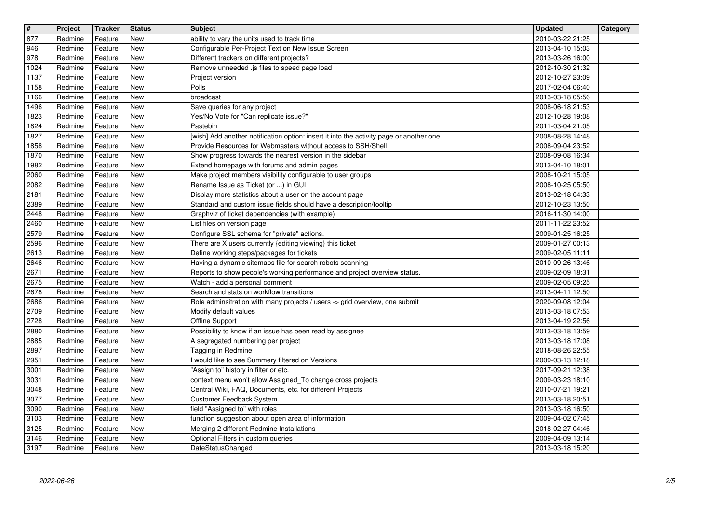| $\overline{\mathbf{r}}$ | Project            | <b>Tracker</b>     | <b>Status</b>            | <b>Subject</b>                                                                                                                 | <b>Updated</b>                       | Category |
|-------------------------|--------------------|--------------------|--------------------------|--------------------------------------------------------------------------------------------------------------------------------|--------------------------------------|----------|
| 877<br>946              | Redmine<br>Redmine | Feature<br>Feature | New<br>New               | ability to vary the units used to track time<br>Configurable Per-Project Text on New Issue Screen                              | 2010-03-22 21:25<br>2013-04-10 15:03 |          |
| 978                     | Redmine            | Feature            | <b>New</b>               | Different trackers on different projects?                                                                                      | 2013-03-26 16:00                     |          |
| 1024                    | Redmine            | Feature            | <b>New</b>               | Remove unneeded .js files to speed page load                                                                                   | 2012-10-30 21:32                     |          |
| 1137<br>1158            | Redmine<br>Redmine | Feature<br>Feature | <b>New</b><br>New        | Project version<br>Polls                                                                                                       | 2012-10-27 23:09<br>2017-02-04 06:40 |          |
| 1166                    | Redmine            | Feature            | New                      | broadcast                                                                                                                      | 2013-03-18 05:56                     |          |
| 1496                    | Redmine            | Feature            | <b>New</b>               | Save queries for any project                                                                                                   | 2008-06-18 21:53                     |          |
| 1823<br>1824            | Redmine<br>Redmine | Feature<br>Feature | New<br>New               | Yes/No Vote for "Can replicate issue?"<br>Pastebin                                                                             | 2012-10-28 19:08<br>2011-03-04 21:05 |          |
| 1827                    | Redmine            | Feature            | <b>New</b>               | [wish] Add another notification option: insert it into the activity page or another one                                        | 2008-08-28 14:48                     |          |
| 1858                    | Redmine            | Feature            | New                      | Provide Resources for Webmasters without access to SSH/Shell                                                                   | 2008-09-04 23:52                     |          |
| 1870<br>1982            | Redmine<br>Redmine | Feature<br>Feature | <b>New</b><br><b>New</b> | Show progress towards the nearest version in the sidebar<br>Extend homepage with forums and admin pages                        | 2008-09-08 16:34<br>2013-04-10 18:01 |          |
| 2060                    | Redmine            | Feature            | New                      | Make project members visibility configurable to user groups                                                                    | 2008-10-21 15:05                     |          |
| 2082                    | Redmine            | Feature            | <b>New</b>               | Rename Issue as Ticket (or ) in GUI                                                                                            | 2008-10-25 05:50                     |          |
| 2181<br>2389            | Redmine<br>Redmine | Feature<br>Feature | <b>New</b><br>New        | Display more statistics about a user on the account page<br>Standard and custom issue fields should have a description/tooltip | 2013-02-18 04:33<br>2012-10-23 13:50 |          |
| 2448                    | Redmine            | Feature            | New                      | Graphviz of ticket dependencies (with example)                                                                                 | 2016-11-30 14:00                     |          |
| 2460                    | Redmine            | Feature            | <b>New</b>               | List files on version page                                                                                                     | 2011-11-22 23:52                     |          |
| 2579                    | Redmine            | Feature            | <b>New</b>               | Configure SSL schema for "private" actions.                                                                                    | 2009-01-25 16:25                     |          |
| 2596<br>2613            | Redmine<br>Redmine | Feature<br>Feature | <b>New</b><br>New        | There are X users currently {editing viewing} this ticket<br>Define working steps/packages for tickets                         | 2009-01-27 00:13<br>2009-02-05 11:11 |          |
| 2646                    | Redmine            | Feature            | New                      | Having a dynamic sitemaps file for search robots scanning                                                                      | 2010-09-26 13:46                     |          |
| 2671                    | Redmine            | Feature            | New                      | Reports to show people's working performance and project overview status.                                                      | 2009-02-09 18:31                     |          |
| 2675                    | Redmine            | Feature            | <b>New</b><br><b>New</b> | Watch - add a personal comment<br>Search and stats on workflow transitions                                                     | 2009-02-05 09:25                     |          |
| 2678<br>2686            | Redmine<br>Redmine | Feature<br>Feature | New                      | Role adminsitration with many projects / users -> grid overview, one submit                                                    | 2013-04-11 12:50<br>2020-09-08 12:04 |          |
| 2709                    | Redmine            | Feature            | New                      | Modify default values                                                                                                          | 2013-03-18 07:53                     |          |
| 2728                    | Redmine            | Feature            | <b>New</b>               | Offline Support                                                                                                                | 2013-04-19 22:56                     |          |
| 2880                    | Redmine            | Feature            | <b>New</b>               | Possibility to know if an issue has been read by assignee                                                                      | 2013-03-18 13:59                     |          |
| 2885<br>2897            | Redmine<br>Redmine | Feature<br>Feature | New<br>New               | A segregated numbering per project<br>Tagging in Redmine                                                                       | 2013-03-18 17:08<br>2018-08-26 22:55 |          |
| 2951                    | Redmine            | Feature            | New                      | I would like to see Summery filtered on Versions                                                                               | 2009-03-13 12:18                     |          |
| 3001                    | Redmine            | Feature            | New                      | "Assign to" history in filter or etc.                                                                                          | 2017-09-21 12:38                     |          |
| 3031                    | Redmine            | Feature            | New                      | context menu won't allow Assigned_To change cross projects                                                                     | 2009-03-23 18:10                     |          |
| 3048<br>3077            | Redmine<br>Redmine | Feature<br>Feature | New<br>New               | Central Wiki, FAQ, Documents, etc. for different Projects<br>Customer Feedback System                                          | 2010-07-21 19:21<br>2013-03-18 20:51 |          |
| 3090                    | Redmine            | Feature            | New                      | field "Assigned to" with roles                                                                                                 | 2013-03-18 16:50                     |          |
| 3103                    | Redmine            | Feature            | New                      | function suggestion about open area of information                                                                             | 2009-04-02 07:45                     |          |
| 3125<br>3146            | Redmine            | Feature            | New                      | Merging 2 different Redmine Installations                                                                                      | 2018-02-27 04:46                     |          |
| 3197                    | Redmine<br>Redmine | Feature<br>Feature | New<br>New               | Optional Filters in custom queries<br>DateStatusChanged                                                                        | 2009-04-09 13:14<br>2013-03-18 15:20 |          |
|                         |                    |                    |                          |                                                                                                                                |                                      |          |
|                         |                    |                    |                          |                                                                                                                                |                                      |          |
|                         |                    |                    |                          |                                                                                                                                |                                      |          |
|                         |                    |                    |                          |                                                                                                                                |                                      |          |
|                         |                    |                    |                          |                                                                                                                                |                                      |          |
|                         |                    |                    |                          |                                                                                                                                |                                      |          |
|                         |                    |                    |                          |                                                                                                                                |                                      |          |
|                         |                    |                    |                          |                                                                                                                                |                                      |          |
|                         |                    |                    |                          |                                                                                                                                |                                      |          |
|                         |                    |                    |                          |                                                                                                                                |                                      |          |
|                         |                    |                    |                          |                                                                                                                                |                                      |          |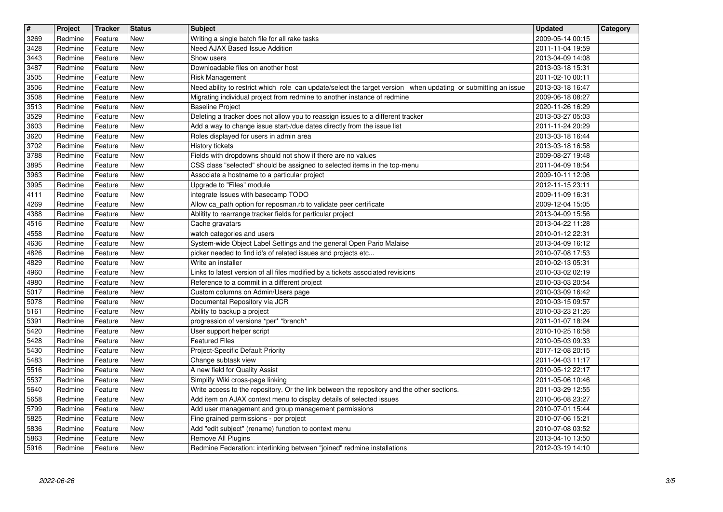| $\overline{\mathbf{t}}$ | Project            | Tracker            | <b>Status</b>            | <b>Subject</b>                                                                                                                                                    | <b>Updated</b>                       | Category |
|-------------------------|--------------------|--------------------|--------------------------|-------------------------------------------------------------------------------------------------------------------------------------------------------------------|--------------------------------------|----------|
| 3269<br>3428            | Redmine<br>Redmine | Feature<br>Feature | New<br><b>New</b>        | Writing a single batch file for all rake tasks<br>Need AJAX Based Issue Addition                                                                                  | 2009-05-14 00:15<br>2011-11-04 19:59 |          |
| 3443                    | Redmine            | Feature            | <b>New</b>               | Show users                                                                                                                                                        | 2013-04-09 14:08                     |          |
| 3487<br>3505            | Redmine<br>Redmine | Feature<br>Feature | <b>New</b><br>New        | Downloadable files on another host<br>Risk Management                                                                                                             | 2013-03-18 15:31<br>2011-02-10 00:11 |          |
| 3506                    | Redmine            | Feature            | New                      | Need ability to restrict which role can update/select the target version when updating or submitting an issue                                                     | 2013-03-18 16:47                     |          |
| 3508                    | Redmine            | Feature            | <b>New</b>               | Migrating individual project from redmine to another instance of redmine                                                                                          | 2009-06-18 08:27                     |          |
| 3513<br>3529            | Redmine<br>Redmine | Feature<br>Feature | <b>New</b><br>New        | <b>Baseline Project</b><br>Deleting a tracker does not allow you to reassign issues to a different tracker                                                        | 2020-11-26 16:29<br>2013-03-27 05:03 |          |
| 3603                    | Redmine            | Feature            | <b>New</b>               | Add a way to change issue start-/due dates directly from the issue list                                                                                           | 2011-11-24 20:29                     |          |
| 3620<br>3702            | Redmine<br>Redmine | Feature<br>Feature | <b>New</b><br>New        | Roles displayed for users in admin area<br>History tickets                                                                                                        | 2013-03-18 16:44<br>2013-03-18 16:58 |          |
| 3788                    | Redmine            | Feature            | <b>New</b>               | Fields with dropdowns should not show if there are no values                                                                                                      | 2009-08-27 19:48                     |          |
| 3895<br>3963            | Redmine<br>Redmine | Feature<br>Feature | <b>New</b><br><b>New</b> | CSS class "selected" should be assigned to selected items in the top-menu<br>Associate a hostname to a particular project                                         | 2011-04-09 18:54<br>2009-10-11 12:06 |          |
| 3995                    | Redmine            | Feature            | <b>New</b>               | Upgrade to "Files" module                                                                                                                                         | 2012-11-15 23:11                     |          |
| 4111<br>4269            | Redmine<br>Redmine | Feature<br>Feature | <b>New</b><br><b>New</b> | integrate Issues with basecamp TODO<br>Allow ca_path option for reposman.rb to validate peer certificate                                                          | 2009-11-09 16:31<br>2009-12-04 15:05 |          |
| 4388                    | Redmine            | Feature            | <b>New</b>               | Ablitity to rearrange tracker fields for particular project                                                                                                       | 2013-04-09 15:56                     |          |
| 4516                    | Redmine            | Feature            | <b>New</b>               | Cache gravatars<br>watch categories and users                                                                                                                     | 2013-04-22 11:28                     |          |
| 4558<br>4636            | Redmine<br>Redmine | Feature<br>Feature | New<br><b>New</b>        | System-wide Object Label Settings and the general Open Pario Malaise                                                                                              | 2010-01-12 22:31<br>2013-04-09 16:12 |          |
| 4826                    | Redmine            | Feature            | <b>New</b>               | picker needed to find id's of related issues and projects etc                                                                                                     | 2010-07-08 17:53                     |          |
| 4829<br>4960            | Redmine<br>Redmine | Feature<br>Feature | New<br>New               | Write an installer<br>Links to latest version of all files modified by a tickets associated revisions                                                             | 2010-02-13 05:31<br>2010-03-02 02:19 |          |
| 4980                    | Redmine            | Feature            | New                      | Reference to a commit in a different project                                                                                                                      | 2010-03-03 20:54                     |          |
| 5017<br>5078            | Redmine<br>Redmine | Feature<br>Feature | <b>New</b><br><b>New</b> | Custom columns on Admin/Users page<br>Documental Repository vía JCR                                                                                               | 2010-03-09 16:42<br>2010-03-15 09:57 |          |
| 5161                    | Redmine            | Feature            | <b>New</b>               | Ability to backup a project                                                                                                                                       | 2010-03-23 21:26                     |          |
| 5391<br>5420            | Redmine<br>Redmine | Feature<br>Feature | <b>New</b><br><b>New</b> | progression of versions *per* *branch*<br>User support helper script                                                                                              | 2011-01-07 18:24<br>2010-10-25 16:58 |          |
| 5428                    | Redmine            | Feature            | <b>New</b>               | <b>Featured Files</b>                                                                                                                                             | 2010-05-03 09:33                     |          |
| 5430                    | Redmine            | Feature            | New                      | Project-Specific Default Priority                                                                                                                                 | 2017-12-08 20:15                     |          |
| 5483<br>5516            | Redmine<br>Redmine | Feature<br>Feature | <b>New</b><br>New        | Change subtask view<br>A new field for Quality Assist                                                                                                             | 2011-04-03 11:17<br>2010-05-12 22:17 |          |
| 5537                    | Redmine            | Feature            | New                      | Simplify Wiki cross-page linking                                                                                                                                  | 2011-05-06 10:46                     |          |
| 5640<br>5658            | Redmine<br>Redmine | Feature<br>Feature | <b>New</b><br>New        | Write access to the repository. Or the link between the repository and the other sections.<br>Add item on AJAX context menu to display details of selected issues | 2011-03-29 12:55<br>2010-06-08 23:27 |          |
| 5799                    | Redmine            | Feature            | New                      | Add user management and group management permissions                                                                                                              | 2010-07-01 15:44                     |          |
| 5825<br>5836            | Redmine<br>Redmine | Feature<br>Feature | <b>New</b><br>New        | Fine grained permissions - per project<br>Add "edit subject" (rename) function to context menu                                                                    | 2010-07-06 15:21<br>2010-07-08 03:52 |          |
| 5863                    | Redmine            | Feature            | New                      | Remove All Plugins<br>Redmine Federation: interlinking between "joined" redmine installations                                                                     | 2013-04-10 13:50                     |          |
| 5916                    | Redmine            | Feature            | New                      |                                                                                                                                                                   | 2012-03-19 14:10                     |          |
|                         |                    |                    |                          |                                                                                                                                                                   |                                      |          |
|                         |                    |                    |                          |                                                                                                                                                                   |                                      |          |
|                         |                    |                    |                          |                                                                                                                                                                   |                                      |          |
|                         |                    |                    |                          |                                                                                                                                                                   |                                      |          |
|                         |                    |                    |                          |                                                                                                                                                                   |                                      |          |
|                         |                    |                    |                          |                                                                                                                                                                   |                                      |          |
|                         |                    |                    |                          |                                                                                                                                                                   |                                      |          |
|                         |                    |                    |                          |                                                                                                                                                                   |                                      |          |
|                         |                    |                    |                          |                                                                                                                                                                   |                                      |          |
|                         |                    |                    |                          |                                                                                                                                                                   |                                      |          |
|                         |                    |                    |                          |                                                                                                                                                                   |                                      |          |
|                         |                    |                    |                          |                                                                                                                                                                   |                                      |          |
|                         |                    |                    |                          |                                                                                                                                                                   |                                      |          |
|                         |                    |                    |                          |                                                                                                                                                                   |                                      |          |
|                         |                    |                    |                          |                                                                                                                                                                   |                                      |          |
|                         |                    |                    |                          |                                                                                                                                                                   |                                      |          |
|                         |                    |                    |                          |                                                                                                                                                                   |                                      |          |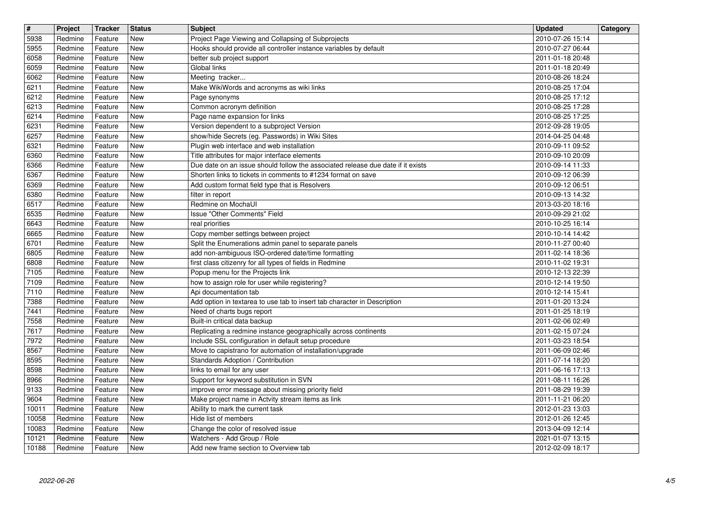| $\overline{\mathbf{r}}$ | Project            | <b>Tracker</b>     | <b>Status</b>            | <b>Subject</b>                                                                                                                                  | <b>Updated</b>                       | Category |
|-------------------------|--------------------|--------------------|--------------------------|-------------------------------------------------------------------------------------------------------------------------------------------------|--------------------------------------|----------|
| 5938<br>5955            | Redmine<br>Redmine | Feature<br>Feature | <b>New</b><br><b>New</b> | Project Page Viewing and Collapsing of Subprojects<br>Hooks should provide all controller instance variables by default                         | 2010-07-26 15:14<br>2010-07-27 06:44 |          |
| 6058                    | Redmine            | Feature            | <b>New</b>               | better sub project support                                                                                                                      | 2011-01-18 20:48                     |          |
| 6059<br>6062            | Redmine<br>Redmine | Feature<br>Feature | <b>New</b><br><b>New</b> | Global links<br>Meeting tracker                                                                                                                 | 2011-01-18 20:49<br>2010-08-26 18:24 |          |
| 6211                    | Redmine            | Feature            | <b>New</b>               | Make WikiWords and acronyms as wiki links                                                                                                       | 2010-08-25 17:04                     |          |
| 6212<br>6213            | Redmine<br>Redmine | Feature<br>Feature | New<br><b>New</b>        | Page synonyms<br>Common acronym definition                                                                                                      | 2010-08-25 17:12<br>2010-08-25 17:28 |          |
| 6214                    | Redmine            | Feature            | <b>New</b>               | Page name expansion for links                                                                                                                   | 2010-08-25 17:25                     |          |
| 6231                    | Redmine            | Feature            | <b>New</b>               | Version dependent to a subproject Version                                                                                                       | 2012-09-28 19:05                     |          |
| 6257<br>6321            | Redmine<br>Redmine | Feature<br>Feature | <b>New</b><br><b>New</b> | show/hide Secrets (eg. Passwords) in Wiki Sites<br>Plugin web interface and web installation                                                    | 2014-04-25 04:48<br>2010-09-11 09:52 |          |
| 6360                    | Redmine            | Feature            | New                      | Title attributes for major interface elements                                                                                                   | 2010-09-10 20:09                     |          |
| 6366<br>6367            | Redmine<br>Redmine | Feature<br>Feature | <b>New</b><br>New        | Due date on an issue should follow the associated release due date if it exists<br>Shorten links to tickets in comments to #1234 format on save | 2010-09-14 11:33<br>2010-09-12 06:39 |          |
| 6369                    | Redmine            | Feature            | New                      | Add custom format field type that is Resolvers                                                                                                  | 2010-09-12 06:51                     |          |
| 6380<br>6517            | Redmine<br>Redmine | Feature<br>Feature | <b>New</b><br>New        | filter in report<br>Redmine on MochaUI                                                                                                          | 2010-09-13 14:32<br>2013-03-20 18:16 |          |
| 6535                    | Redmine            | Feature            | New                      | Issue "Other Comments" Field                                                                                                                    | 2010-09-29 21:02                     |          |
| 6643<br>6665            | Redmine<br>Redmine | Feature<br>Feature | New<br><b>New</b>        | real priorities<br>Copy member settings between project                                                                                         | 2010-10-25 16:14<br>2010-10-14 14:42 |          |
| 6701                    | Redmine            | Feature            | <b>New</b>               | Split the Enumerations admin panel to separate panels                                                                                           | 2010-11-27 00:40                     |          |
| 6805<br>6808            | Redmine<br>Redmine | Feature<br>Feature | New<br>New               | add non-ambiguous ISO-ordered date/time formatting<br>first class citizenry for all types of fields in Redmine                                  | 2011-02-14 18:36<br>2010-11-02 19:31 |          |
| 7105                    | Redmine            | Feature            | New                      | Popup menu for the Projects link                                                                                                                | 2010-12-13 22:39                     |          |
| 7109<br>7110            | Redmine<br>Redmine | Feature<br>Feature | <b>New</b><br>New        | how to assign role for user while registering?<br>Api documentation tab                                                                         | 2010-12-14 19:50<br>2010-12-14 15:41 |          |
| 7388                    | Redmine            | Feature            | <b>New</b>               | Add option in textarea to use tab to insert tab character in Description                                                                        | 2011-01-20 13:24                     |          |
| 7441<br>7558            | Redmine<br>Redmine | Feature<br>Feature | <b>New</b><br><b>New</b> | Need of charts bugs report<br>Built-in critical data backup                                                                                     | 2011-01-25 18:19<br>2011-02-06 02:49 |          |
| 7617                    | Redmine            | Feature            | <b>New</b>               | Replicating a redmine instance geographically across continents                                                                                 | 2011-02-15 07:24                     |          |
| 7972<br>8567            | Redmine<br>Redmine | Feature<br>Feature | New<br>New               | Include SSL configuration in default setup procedure<br>Move to capistrano for automation of installation/upgrade                               | 2011-03-23 18:54<br>2011-06-09 02:46 |          |
| 8595                    | Redmine            | Feature            | <b>New</b>               | Standards Adoption / Contribution                                                                                                               | 2011-07-14 18:20                     |          |
| 8598<br>8966            | Redmine<br>Redmine | Feature<br>Feature | New<br>New               | links to email for any user<br>Support for keyword substitution in SVN                                                                          | 2011-06-16 17:13<br>2011-08-11 16:26 |          |
| 9133                    | Redmine            | Feature            | <b>New</b>               | improve error message about missing priority field                                                                                              | 2011-08-29 19:39                     |          |
| 9604<br>10011           | Redmine<br>Redmine | Feature<br>Feature | New<br>New               | Make project name in Actvity stream items as link<br>Ability to mark the current task                                                           | 2011-11-21 06:20<br>2012-01-23 13:03 |          |
| 10058                   | Redmine            | Feature            | New                      | Hide list of members                                                                                                                            | 2012-01-26 12:45                     |          |
| 10083<br>10121          | Redmine<br>Redmine | Feature<br>Feature | New<br>New               | Change the color of resolved issue<br>Watchers - Add Group / Role                                                                               | 2013-04-09 12:14<br>2021-01-07 13:15 |          |
| 10188                   | Redmine            | Feature            | New                      | Add new frame section to Overview tab                                                                                                           | 2012-02-09 18:17                     |          |
|                         |                    |                    |                          |                                                                                                                                                 |                                      |          |
|                         |                    |                    |                          |                                                                                                                                                 |                                      |          |
|                         |                    |                    |                          |                                                                                                                                                 |                                      |          |
|                         |                    |                    |                          |                                                                                                                                                 |                                      |          |
|                         |                    |                    |                          |                                                                                                                                                 |                                      |          |
|                         |                    |                    |                          |                                                                                                                                                 |                                      |          |
|                         |                    |                    |                          |                                                                                                                                                 |                                      |          |
|                         |                    |                    |                          |                                                                                                                                                 |                                      |          |
|                         |                    |                    |                          |                                                                                                                                                 |                                      |          |
|                         |                    |                    |                          |                                                                                                                                                 |                                      |          |